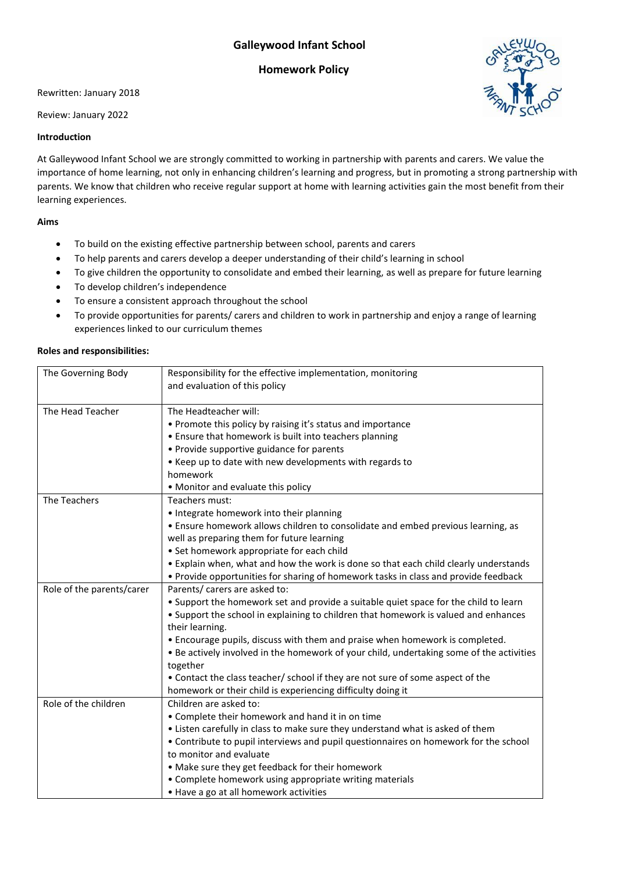# **Galleywood Infant School**

## **Homework Policy**

Rewritten: January 2018

Review: January 2022

### **Introduction**

At Galleywood Infant School we are strongly committed to working in partnership with parents and carers. We value the importance of home learning, not only in enhancing children's learning and progress, but in promoting a strong partnership with parents. We know that children who receive regular support at home with learning activities gain the most benefit from their learning experiences.

### **Aims**

- To build on the existing effective partnership between school, parents and carers
- To help parents and carers develop a deeper understanding of their child's learning in school
- To give children the opportunity to consolidate and embed their learning, as well as prepare for future learning
- To develop children's independence
- To ensure a consistent approach throughout the school
- To provide opportunities for parents/ carers and children to work in partnership and enjoy a range of learning experiences linked to our curriculum themes

### **Roles and responsibilities:**

| The Governing Body        | Responsibility for the effective implementation, monitoring<br>and evaluation of this policy |  |  |
|---------------------------|----------------------------------------------------------------------------------------------|--|--|
|                           |                                                                                              |  |  |
| The Head Teacher          | The Headteacher will:                                                                        |  |  |
|                           | • Promote this policy by raising it's status and importance                                  |  |  |
|                           | • Ensure that homework is built into teachers planning                                       |  |  |
|                           | • Provide supportive guidance for parents                                                    |  |  |
|                           | • Keep up to date with new developments with regards to                                      |  |  |
|                           | homework                                                                                     |  |  |
|                           | • Monitor and evaluate this policy                                                           |  |  |
| The Teachers              | Teachers must:                                                                               |  |  |
|                           | • Integrate homework into their planning                                                     |  |  |
|                           | • Ensure homework allows children to consolidate and embed previous learning, as             |  |  |
|                           | well as preparing them for future learning                                                   |  |  |
|                           | • Set homework appropriate for each child                                                    |  |  |
|                           | . Explain when, what and how the work is done so that each child clearly understands         |  |  |
|                           | • Provide opportunities for sharing of homework tasks in class and provide feedback          |  |  |
| Role of the parents/carer | Parents/ carers are asked to:                                                                |  |  |
|                           | . Support the homework set and provide a suitable quiet space for the child to learn         |  |  |
|                           | • Support the school in explaining to children that homework is valued and enhances          |  |  |
|                           | their learning.                                                                              |  |  |
|                           | • Encourage pupils, discuss with them and praise when homework is completed.                 |  |  |
|                           | . Be actively involved in the homework of your child, undertaking some of the activities     |  |  |
|                           | together                                                                                     |  |  |
|                           | • Contact the class teacher/ school if they are not sure of some aspect of the               |  |  |
|                           | homework or their child is experiencing difficulty doing it                                  |  |  |
| Role of the children      | Children are asked to:                                                                       |  |  |
|                           | • Complete their homework and hand it in on time                                             |  |  |
|                           | • Listen carefully in class to make sure they understand what is asked of them               |  |  |
|                           | • Contribute to pupil interviews and pupil questionnaires on homework for the school         |  |  |
|                           | to monitor and evaluate                                                                      |  |  |
|                           | • Make sure they get feedback for their homework                                             |  |  |
|                           | • Complete homework using appropriate writing materials                                      |  |  |
|                           | • Have a go at all homework activities                                                       |  |  |